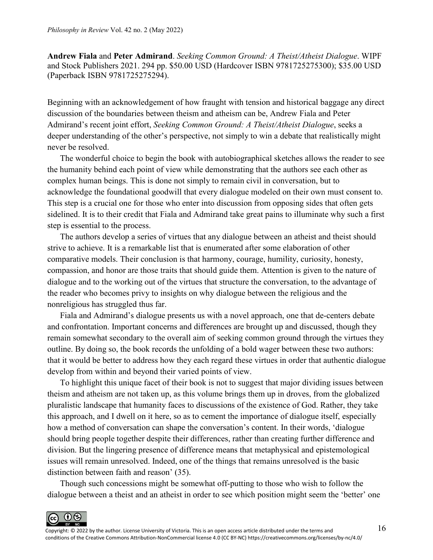**Andrew Fiala** and **Peter Admirand**. *Seeking Common Ground: A Theist/Atheist Dialogue*. WIPF and Stock Publishers 2021. 294 pp. \$50.00 USD (Hardcover ISBN 9781725275300); \$35.00 USD (Paperback ISBN 9781725275294).

Beginning with an acknowledgement of how fraught with tension and historical baggage any direct discussion of the boundaries between theism and atheism can be, Andrew Fiala and Peter Admirand's recent joint effort, *Seeking Common Ground: A Theist/Atheist Dialogue*, seeks a deeper understanding of the other's perspective, not simply to win a debate that realistically might never be resolved.

The wonderful choice to begin the book with autobiographical sketches allows the reader to see the humanity behind each point of view while demonstrating that the authors see each other as complex human beings. This is done not simply to remain civil in conversation, but to acknowledge the foundational goodwill that every dialogue modeled on their own must consent to. This step is a crucial one for those who enter into discussion from opposing sides that often gets sidelined. It is to their credit that Fiala and Admirand take great pains to illuminate why such a first step is essential to the process.

The authors develop a series of virtues that any dialogue between an atheist and theist should strive to achieve. It is a remarkable list that is enumerated after some elaboration of other comparative models. Their conclusion is that harmony, courage, humility, curiosity, honesty, compassion, and honor are those traits that should guide them. Attention is given to the nature of dialogue and to the working out of the virtues that structure the conversation, to the advantage of the reader who becomes privy to insights on why dialogue between the religious and the nonreligious has struggled thus far.

Fiala and Admirand's dialogue presents us with a novel approach, one that de-centers debate and confrontation. Important concerns and differences are brought up and discussed, though they remain somewhat secondary to the overall aim of seeking common ground through the virtues they outline. By doing so, the book records the unfolding of a bold wager between these two authors: that it would be better to address how they each regard these virtues in order that authentic dialogue develop from within and beyond their varied points of view.

To highlight this unique facet of their book is not to suggest that major dividing issues between theism and atheism are not taken up, as this volume brings them up in droves, from the globalized pluralistic landscape that humanity faces to discussions of the existence of God. Rather, they take this approach, and I dwell on it here, so as to cement the importance of dialogue itself, especially how a method of conversation can shape the conversation's content. In their words, 'dialogue should bring people together despite their differences, rather than creating further difference and division. But the lingering presence of difference means that metaphysical and epistemological issues will remain unresolved. Indeed, one of the things that remains unresolved is the basic distinction between faith and reason' (35).

Though such concessions might be somewhat off-putting to those who wish to follow the dialogue between a theist and an atheist in order to see which position might seem the 'better' one

 $0$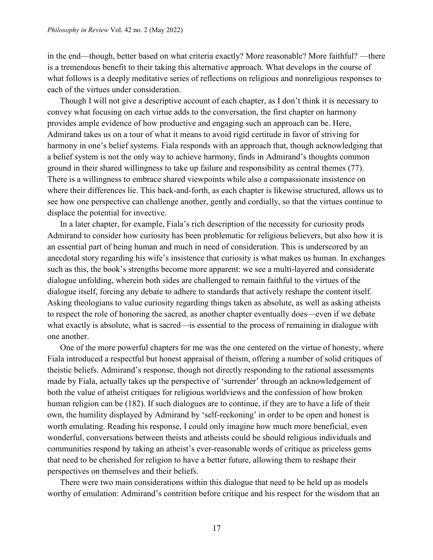in the end—though, better based on what criteria exactly? More reasonable? More faithful? —there is a tremendous benefit to their taking this alternative approach. What develops in the course of what follows is a deeply meditative series of reflections on religious and nonreligious responses to each of the virtues under consideration.

Though I will not give a descriptive account of each chapter, as I don't think it is necessary to convey what focusing on each virtue adds to the conversation, the first chapter on harmony provides ample evidence of how productive and engaging such an approach can be. Here, Admirand takes us on a tour of what it means to avoid rigid certitude in favor of striving for harmony in one's belief systems. Fiala responds with an approach that, though acknowledging that a belief system is not the only way to achieve harmony, finds in Admirand's thoughts common ground in their shared willingness to take up failure and responsibility as central themes (77). There is a willingness to embrace shared viewpoints while also a compassionate insistence on where their differences lie. This back-and-forth, as each chapter is likewise structured, allows us to see how one perspective can challenge another, gently and cordially, so that the virtues continue to displace the potential for invective.

In a later chapter, for example, Fiala's rich description of the necessity for curiosity prods Admirand to consider how curiosity has been problematic for religious believers, but also how it is an essential part of being human and much in need of consideration. This is underscored by an anecdotal story regarding his wife's insistence that curiosity is what makes us human. In exchanges such as this, the book's strengths become more apparent: we see a multi-layered and considerate dialogue unfolding, wherein both sides are challenged to remain faithful to the virtues of the dialogue itself, forcing any debate to adhere to standards that actively reshape the content itself. Asking theologians to value curiosity regarding things taken as absolute, as well as asking atheists to respect the role of honoring the sacred, as another chapter eventually does—even if we debate what exactly is absolute, what is sacred—is essential to the process of remaining in dialogue with one another.

One of the more powerful chapters for me was the one centered on the virtue of honesty, where Fiala introduced a respectful but honest appraisal of theism, offering a number of solid critiques of theistic beliefs. Admirand's response, though not directly responding to the rational assessments made by Fiala, actually takes up the perspective of 'surrender' through an acknowledgement of both the value of atheist critiques for religious worldviews and the confession of how broken human religion can be (182). If such dialogues are to continue, if they are to have a life of their own, the humility displayed by Admirand by 'self-reckoning' in order to be open and honest is worth emulating. Reading his response, I could only imagine how much more beneficial, even wonderful, conversations between theists and atheists could be should religious individuals and communities respond by taking an atheist's ever-reasonable words of critique as priceless gems that need to be cherished for religion to have a better future, allowing them to reshape their perspectives on themselves and their beliefs.

There were two main considerations within this dialogue that need to be held up as models worthy of emulation: Admirand's contrition before critique and his respect for the wisdom that an